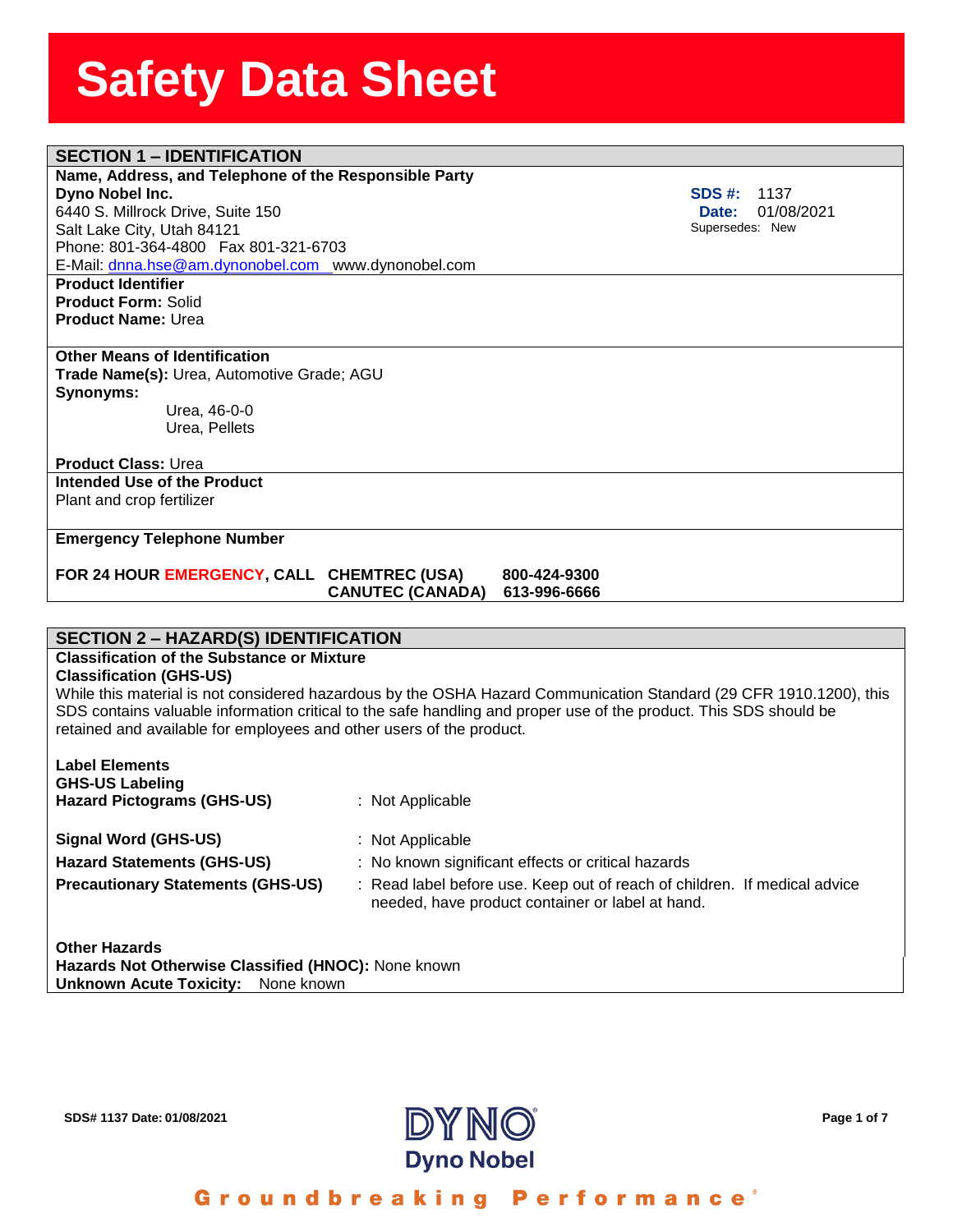## **SECTION 1 – IDENTIFICATION**

#### **Name, Address, and Telephon**<br>**Dyno Nobel Inc.**<br>6440 S. Millrock Drive, Suite 150 **Name, Address, and Telephone of the Responsible Party Dyno Nobel Inc.**

Salt Lake City, Utah 84121 Phone: 801-364-4800 Fax 801-321-6703 E-Mail: [dnna.hse@am.dynonobel.com](mailto:dnna.hse@am.dynonobel.com) www.dynonobel.com

**Product Identifier Product Form:** Solid **Product Name:** Urea

#### **Other Means of Identification**

**Trade Name(s):** Urea, Automotive Grade; AGU **Synonyms:**  Urea, 46-0-0

Urea, Pellets

#### **Product Class:** Urea

**Intended Use of the Product** Plant and crop fertilizer

### **Emergency Telephone Number**

#### **FOR 24 HOUR EMERGENCY, CALL CHEMTREC (USA) 800-424-9300 CANUTEC (CANADA) 613-996-6666**

#### **SECTION 2 – HAZARD(S) IDENTIFICATION**

### **Classification of the Substance or Mixture**

#### **Classification (GHS-US)**

While this material is not considered hazardous by the OSHA Hazard Communication Standard (29 CFR 1910.1200), this SDS contains valuable information critical to the safe handling and proper use of the product. This SDS should be retained and available for employees and other users of the product.

| <b>Label Elements</b><br><b>GHS-US Labeling</b><br><b>Hazard Pictograms (GHS-US)</b> | : Not Applicable                                                                                                              |
|--------------------------------------------------------------------------------------|-------------------------------------------------------------------------------------------------------------------------------|
| <b>Signal Word (GHS-US)</b>                                                          | : Not Applicable                                                                                                              |
| <b>Hazard Statements (GHS-US)</b>                                                    | : No known significant effects or critical hazards                                                                            |
| <b>Precautionary Statements (GHS-US)</b>                                             | : Read label before use. Keep out of reach of children. If medical advice<br>needed, have product container or label at hand. |
| <b>Other Hazards</b>                                                                 |                                                                                                                               |

**Hazards Not Otherwise Classified (HNOC):** None known **Unknown Acute Toxicity:** None known



**SDS #:** 1137  **Date:** 01/08/2021 Supersedes: New

Groundbreaking Performance<sup>®</sup>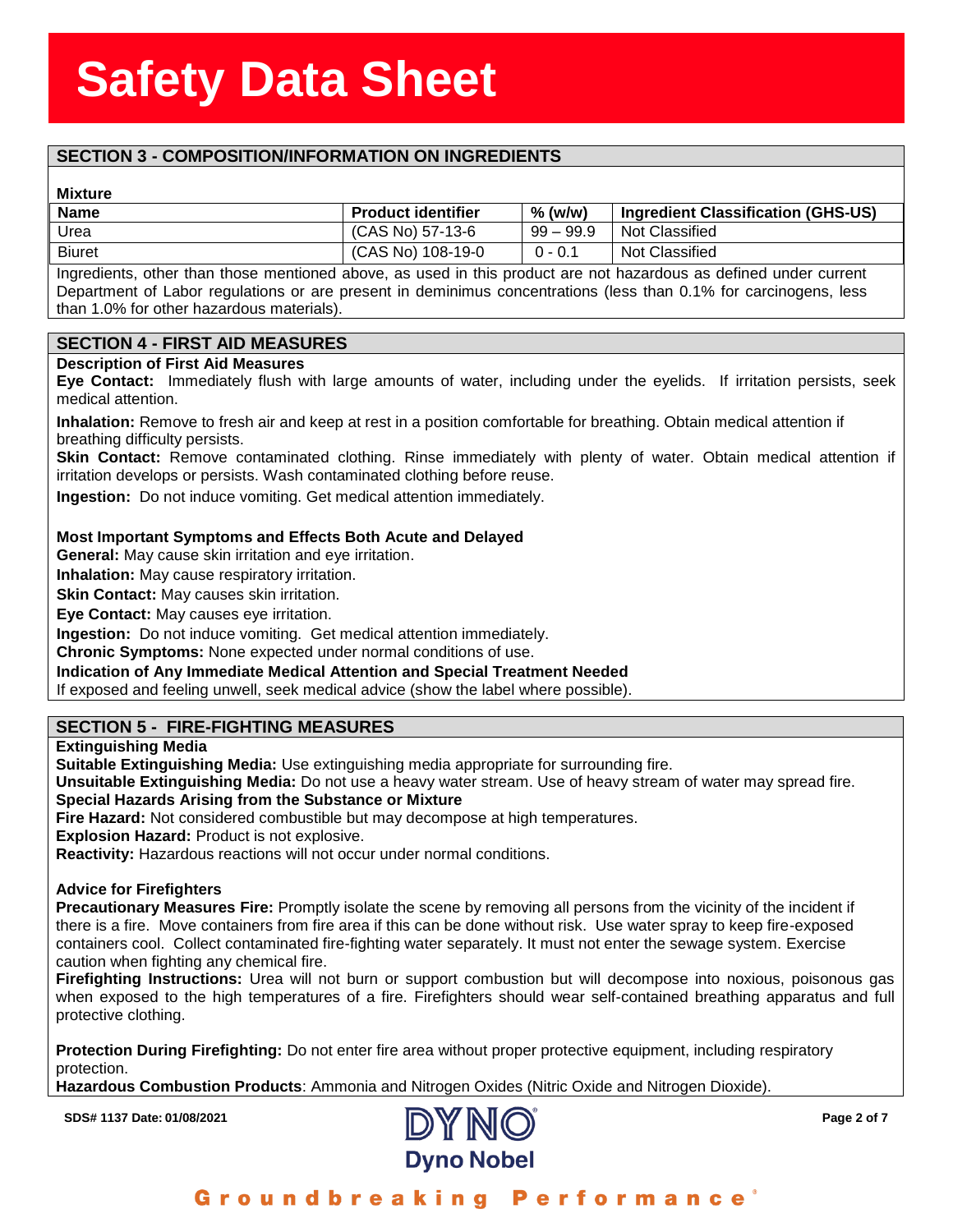## **SECTION 3 - COMPOSITION/INFORMATION ON INGREDIENTS**

#### **Mixture**

| <b>Mixture</b> |                           |             |                                    |
|----------------|---------------------------|-------------|------------------------------------|
| <b>Name</b>    | <b>Product identifier</b> | $%$ (w/w)   | Ingredient Classification (GHS-US) |
| Urea           | (CAS No) 57-13-6          | $99 - 99.9$ | Not Classified                     |
| <b>Biuret</b>  | (CAS No) 108-19-0         | $0 - 0.1$   | Not Classified                     |
|                |                           |             |                                    |

Ingredients, other than those mentioned above, as used in this product are not hazardous as defined under current Department of Labor regulations or are present in deminimus concentrations (less than 0.1% for carcinogens, less than 1.0% for other hazardous materials).

#### **SECTION 4 - FIRST AID MEASURES**

#### **Description of First Aid Measures**

**Eye Contact:** Immediately flush with large amounts of water, including under the eyelids. If irritation persists, seek medical attention.

**Inhalation:** Remove to fresh air and keep at rest in a position comfortable for breathing. Obtain medical attention if breathing difficulty persists.

**Skin Contact:** Remove contaminated clothing. Rinse immediately with plenty of water. Obtain medical attention if irritation develops or persists. Wash contaminated clothing before reuse.

**Ingestion:** Do not induce vomiting. Get medical attention immediately.

#### **Most Important Symptoms and Effects Both Acute and Delayed**

**General:** May cause skin irritation and eye irritation.

**Inhalation:** May cause respiratory irritation.

**Skin Contact:** May causes skin irritation.

**Eye Contact:** May causes eye irritation.

**Ingestion:** Do not induce vomiting. Get medical attention immediately.

**Chronic Symptoms:** None expected under normal conditions of use.

**Indication of Any Immediate Medical Attention and Special Treatment Needed**

If exposed and feeling unwell, seek medical advice (show the label where possible).

#### **SECTION 5 - FIRE-FIGHTING MEASURES**

#### **Extinguishing Media**

**Suitable Extinguishing Media:** Use extinguishing media appropriate for surrounding fire.

**Unsuitable Extinguishing Media:** Do not use a heavy water stream. Use of heavy stream of water may spread fire. **Special Hazards Arising from the Substance or Mixture**

**Fire Hazard:** Not considered combustible but may decompose at high temperatures.

**Explosion Hazard:** Product is not explosive.

**Reactivity:** Hazardous reactions will not occur under normal conditions.

#### **Advice for Firefighters**

**Precautionary Measures Fire:** Promptly isolate the scene by removing all persons from the vicinity of the incident if there is a fire. Move containers from fire area if this can be done without risk. Use water spray to keep fire-exposed containers cool. Collect contaminated fire-fighting water separately. It must not enter the sewage system. Exercise caution when fighting any chemical fire.

**Firefighting Instructions:** Urea will not burn or support combustion but will decompose into noxious, poisonous gas when exposed to the high temperatures of a fire. Firefighters should wear self-contained breathing apparatus and full protective clothing.

**Protection During Firefighting:** Do not enter fire area without proper protective equipment, including respiratory protection.

**Hazardous Combustion Products**: Ammonia and Nitrogen Oxides (Nitric Oxide and Nitrogen Dioxide).

**SDS# 1137** Date: 01/08/2021 Page 2 of 7



Groundbreaking **Performance**<sup>®</sup>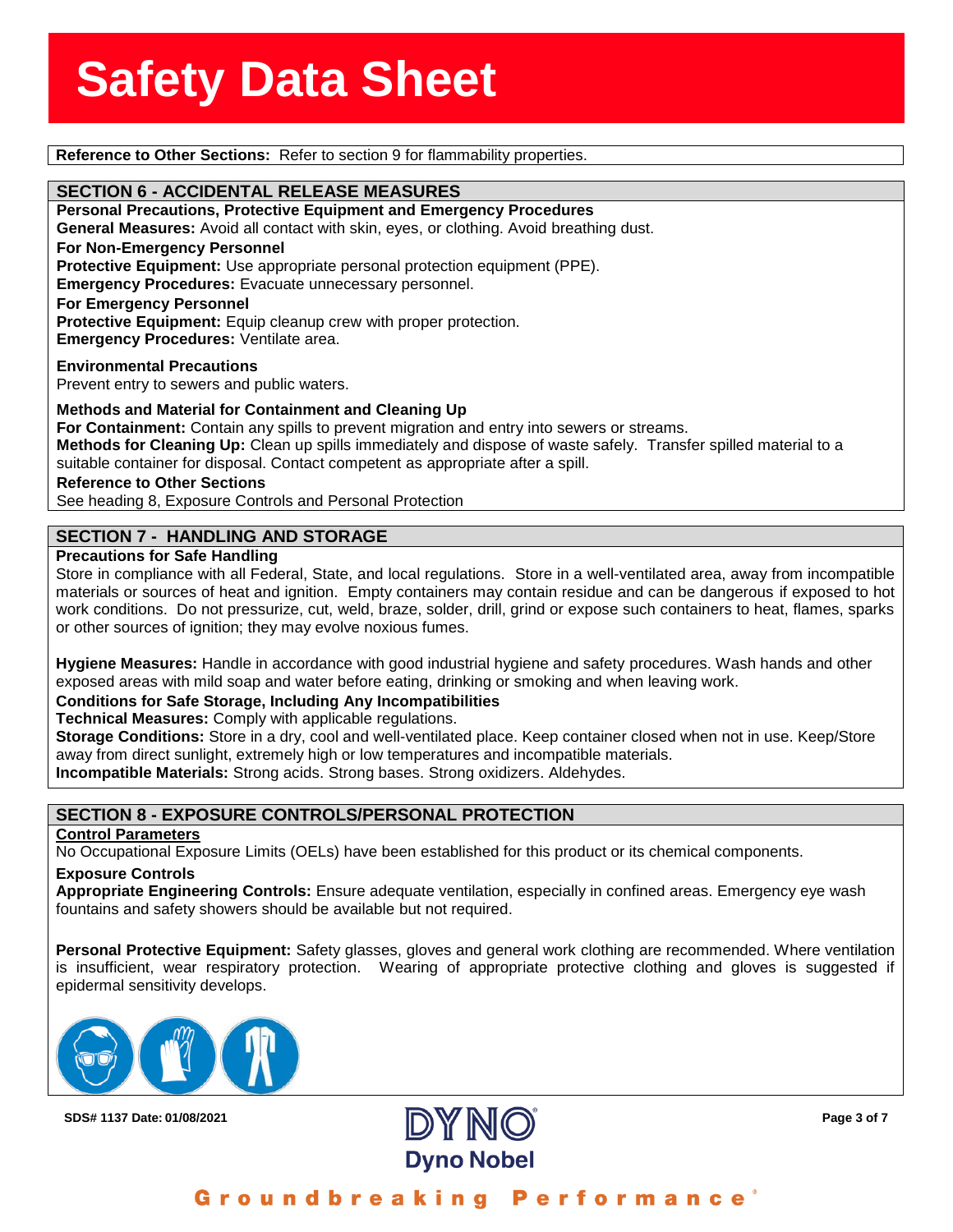**Reference to Other Sections:** Refer to section 9 for flammability properties.

**SECTION 6 - ACCIDENTAL RELEASE MEASURES**<br>Personal Precautions, Protective Equipment and Emerg **Personal Precautions, Protective Equipment and Emergency Procedures General Measures:** Avoid all contact with skin, eyes, or clothing. Avoid breathing dust. **For Non-Emergency Personnel Protective Equipment:** Use appropriate personal protection equipment (PPE). **Emergency Procedures:** Evacuate unnecessary personnel. **For Emergency Personnel Protective Equipment:** Equip cleanup crew with proper protection. **Emergency Procedures:** Ventilate area.

**Environmental Precautions** Prevent entry to sewers and public waters.

**Methods and Material for Containment and Cleaning Up**

**For Containment:** Contain any spills to prevent migration and entry into sewers or streams. **Methods for Cleaning Up:** Clean up spills immediately and dispose of waste safely. Transfer spilled material to a suitable container for disposal. Contact competent as appropriate after a spill.

**Reference to Other Sections**

See heading 8, Exposure Controls and Personal Protection

#### **SECTION 7 - HANDLING AND STORAGE**

#### **Precautions for Safe Handling**

Store in compliance with all Federal, State, and local regulations. Store in a well-ventilated area, away from incompatible materials or sources of heat and ignition. Empty containers may contain residue and can be dangerous if exposed to hot work conditions. Do not pressurize, cut, weld, braze, solder, drill, grind or expose such containers to heat, flames, sparks or other sources of ignition; they may evolve noxious fumes.

**Hygiene Measures:** Handle in accordance with good industrial hygiene and safety procedures. Wash hands and other exposed areas with mild soap and water before eating, drinking or smoking and when leaving work.

#### **Conditions for Safe Storage, Including Any Incompatibilities**

**Technical Measures:** Comply with applicable regulations.

**Storage Conditions:** Store in a dry, cool and well-ventilated place. Keep container closed when not in use. Keep/Store away from direct sunlight, extremely high or low temperatures and incompatible materials.

**Incompatible Materials:** Strong acids. Strong bases. Strong oxidizers. Aldehydes.

#### **SECTION 8 - EXPOSURE CONTROLS/PERSONAL PROTECTION**

#### **Control Parameters**

No Occupational Exposure Limits (OELs) have been established for this product or its chemical components.

#### **Exposure Controls**

**Appropriate Engineering Controls:** Ensure adequate ventilation, especially in confined areas. Emergency eye wash fountains and safety showers should be available but not required.

**Personal Protective Equipment:** Safety glasses, gloves and general work clothing are recommended. Where ventilation is insufficient, wear respiratory protection. Wearing of appropriate protective clothing and gloves is suggested if epidermal sensitivity develops.



**SDS# 1137** Date: 01/08/2021 Page 3 of 7



Groundbreaking **Performance**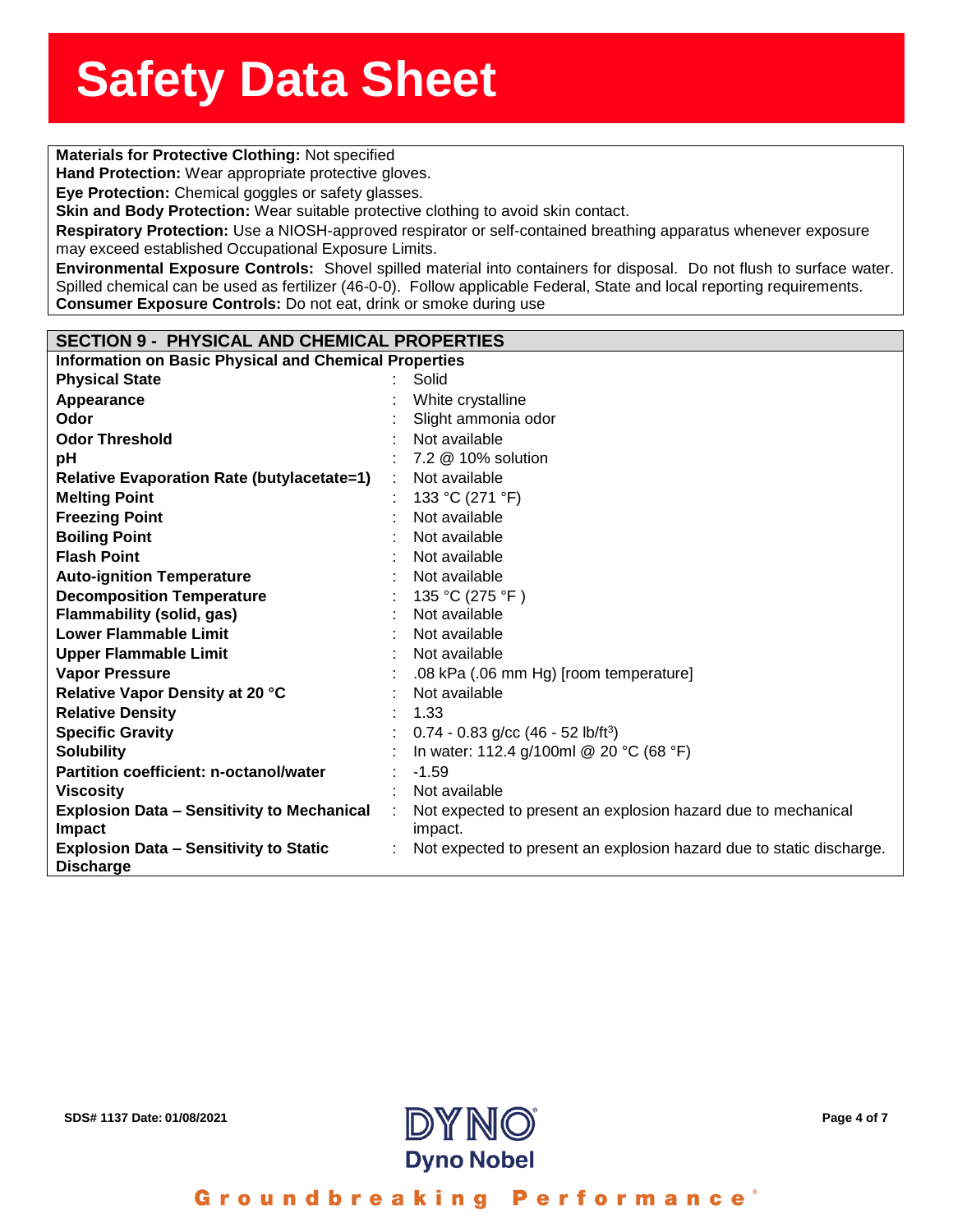**Solution**<br> **Materials for Protective Clothing:** Not specified

**Hand Protection:** Wear appropriate protective gloves.

**Eye Protection:** Chemical goggles or safety glasses.

**nd Protection:** Wear appro<br>**e Protection:** Chemical gog<br>i<mark>n and Body Protection:</mark> W **Skin and Body Protection:** Wear suitable protective clothing to avoid skin contact.

**Respiratory Protection:** Use a NIOSH-approved respirator or self-contained breathing apparatus whenever exposure may exceed established Occupational Exposure Limits.

**Environmental Exposure Controls:** Shovel spilled material into containers for disposal. Do not flush to surface water. Spilled chemical can be used as fertilizer (46-0-0). Follow applicable Federal, State and local reporting requirements. **Consumer Exposure Controls:** Do not eat, drink or smoke during use

#### **SECTION 9 - PHYSICAL AND CHEMICAL PROPERTIES**

**Information on Basic Physical and Chemical Properties**

| <b>Physical State</b>                                              |   | Solid                                                                    |
|--------------------------------------------------------------------|---|--------------------------------------------------------------------------|
| Appearance                                                         |   | White crystalline                                                        |
| Odor                                                               |   | Slight ammonia odor                                                      |
| <b>Odor Threshold</b>                                              |   | Not available                                                            |
| pH                                                                 |   | 7.2 @ 10% solution                                                       |
| <b>Relative Evaporation Rate (butylacetate=1)</b>                  | ÷ | Not available                                                            |
| <b>Melting Point</b>                                               |   | 133 °C (271 °F)                                                          |
| <b>Freezing Point</b>                                              |   | Not available                                                            |
| <b>Boiling Point</b>                                               |   | Not available                                                            |
| <b>Flash Point</b>                                                 |   | Not available                                                            |
| <b>Auto-ignition Temperature</b>                                   |   | Not available                                                            |
| <b>Decomposition Temperature</b>                                   |   | 135 °C (275 °F)                                                          |
| <b>Flammability (solid, gas)</b>                                   |   | Not available                                                            |
| <b>Lower Flammable Limit</b>                                       |   | Not available                                                            |
| <b>Upper Flammable Limit</b>                                       |   | Not available                                                            |
| <b>Vapor Pressure</b>                                              |   | .08 kPa (.06 mm Hg) [room temperature]                                   |
| Relative Vapor Density at 20 °C                                    |   | Not available                                                            |
| <b>Relative Density</b>                                            |   | 1.33                                                                     |
| <b>Specific Gravity</b>                                            |   | $0.74 - 0.83$ g/cc (46 - 52 lb/ft <sup>3</sup> )                         |
| <b>Solubility</b>                                                  |   | In water: 112.4 g/100ml @ 20 °C (68 °F)                                  |
| <b>Partition coefficient: n-octanol/water</b>                      |   | $-1.59$                                                                  |
| <b>Viscosity</b>                                                   |   | Not available                                                            |
| <b>Explosion Data - Sensitivity to Mechanical</b><br><b>Impact</b> | ÷ | Not expected to present an explosion hazard due to mechanical<br>impact. |
| <b>Explosion Data - Sensitivity to Static</b><br><b>Discharge</b>  |   | Not expected to present an explosion hazard due to static discharge.     |



Groundbreaking Performance'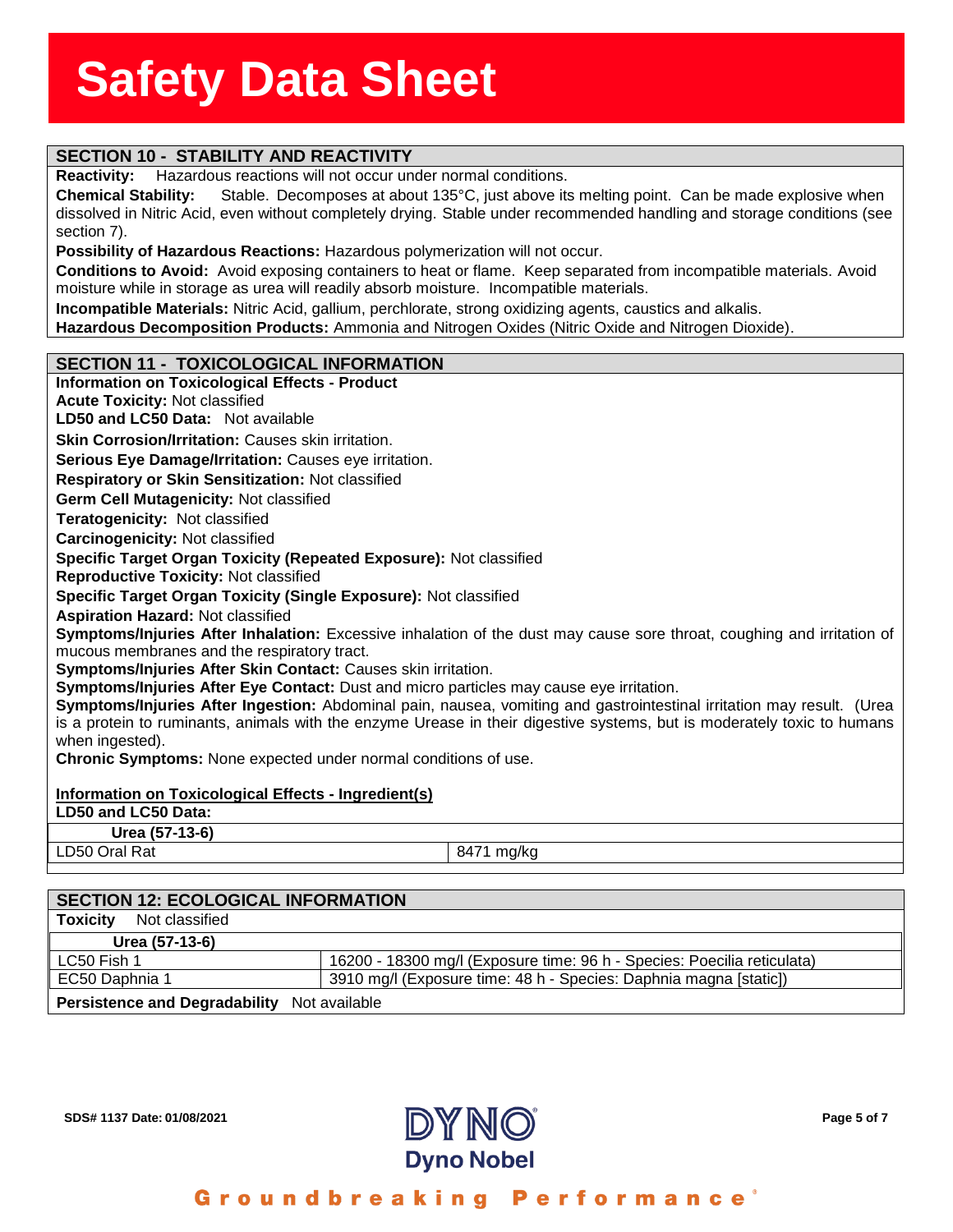## **SECTION 10 - STABILITY AND REACTIVITY**

**Reactivity:** Hazardous reactions will not occur under normal conditions.

**Reactivity:** Hazardous reactions will not occur under normal conditions.<br>**Chemical Stability:** Stable. Decomposes at about 135°C, just above its melting point. Can be made explosive when<br>dissolved in Nitric Aci **Chemical Stability:** Stable. Decomposes at about 135°C, just above its melting point. Can be made explosive when section 7).

**Possibility of Hazardous Reactions:** Hazardous polymerization will not occur.

**Conditions to Avoid:** Avoid exposing containers to heat or flame. Keep separated from incompatible materials. Avoid moisture while in storage as urea will readily absorb moisture. Incompatible materials.

**Incompatible Materials:** Nitric Acid, gallium, perchlorate, strong oxidizing agents, caustics and alkalis.

**Hazardous Decomposition Products:** Ammonia and Nitrogen Oxides (Nitric Oxide and Nitrogen Dioxide).

#### **SECTION 11 - TOXICOLOGICAL INFORMATION**

#### **Information on Toxicological Effects - Product Acute Toxicity:** Not classified **LD50 and LC50 Data:** Not available**Skin Corrosion/Irritation: Causes skin irritation. Serious Eye Damage/Irritation:** Causes eye irritation. **Respiratory or Skin Sensitization:** Not classified **Germ Cell Mutagenicity:** Not classified**Teratogenicity:** Not classified**Carcinogenicity:** Not classified **Specific Target Organ Toxicity (Repeated Exposure):** Not classified **Reproductive Toxicity:** Not classified **Specific Target Organ Toxicity (Single Exposure):** Not classified **Aspiration Hazard:** Not classified **Symptoms/Injuries After Inhalation:** Excessive inhalation of the dust may cause sore throat, coughing and irritation of mucous membranes and the respiratory tract. **Symptoms/Injuries After Skin Contact:** Causes skin irritation. **Symptoms/Injuries After Eye Contact:** Dust and micro particles may cause eye irritation. **Symptoms/Injuries After Ingestion:** Abdominal pain, nausea, vomiting and gastrointestinal irritation may result. (Urea is a protein to ruminants, animals with the enzyme Urease in their digestive systems, but is moderately toxic to humans when ingested). **Chronic Symptoms:** None expected under normal conditions of use. **Information on Toxicological Effects - Ingredient(s) LD50 and LC50 Data: Urea (57-13-6)** LD50 Oral Rat 8471 mg/kg

| <b>SECTION 12: ECOLOGICAL INFORMATION</b>   |                                                                         |  |  |
|---------------------------------------------|-------------------------------------------------------------------------|--|--|
| Not classified<br>Toxicity                  |                                                                         |  |  |
| Urea (57-13-6)                              |                                                                         |  |  |
| LC50 Fish 1                                 | 16200 - 18300 mg/l (Exposure time: 96 h - Species: Poecilia reticulata) |  |  |
| EC50 Daphnia 1                              | 3910 mg/l (Exposure time: 48 h - Species: Daphnia magna [static])       |  |  |
| Persistence and Degradability Not available |                                                                         |  |  |

**SDS# 1137** Date: 01/08/2021 Page 5 of 7



Groundbreaking Performance'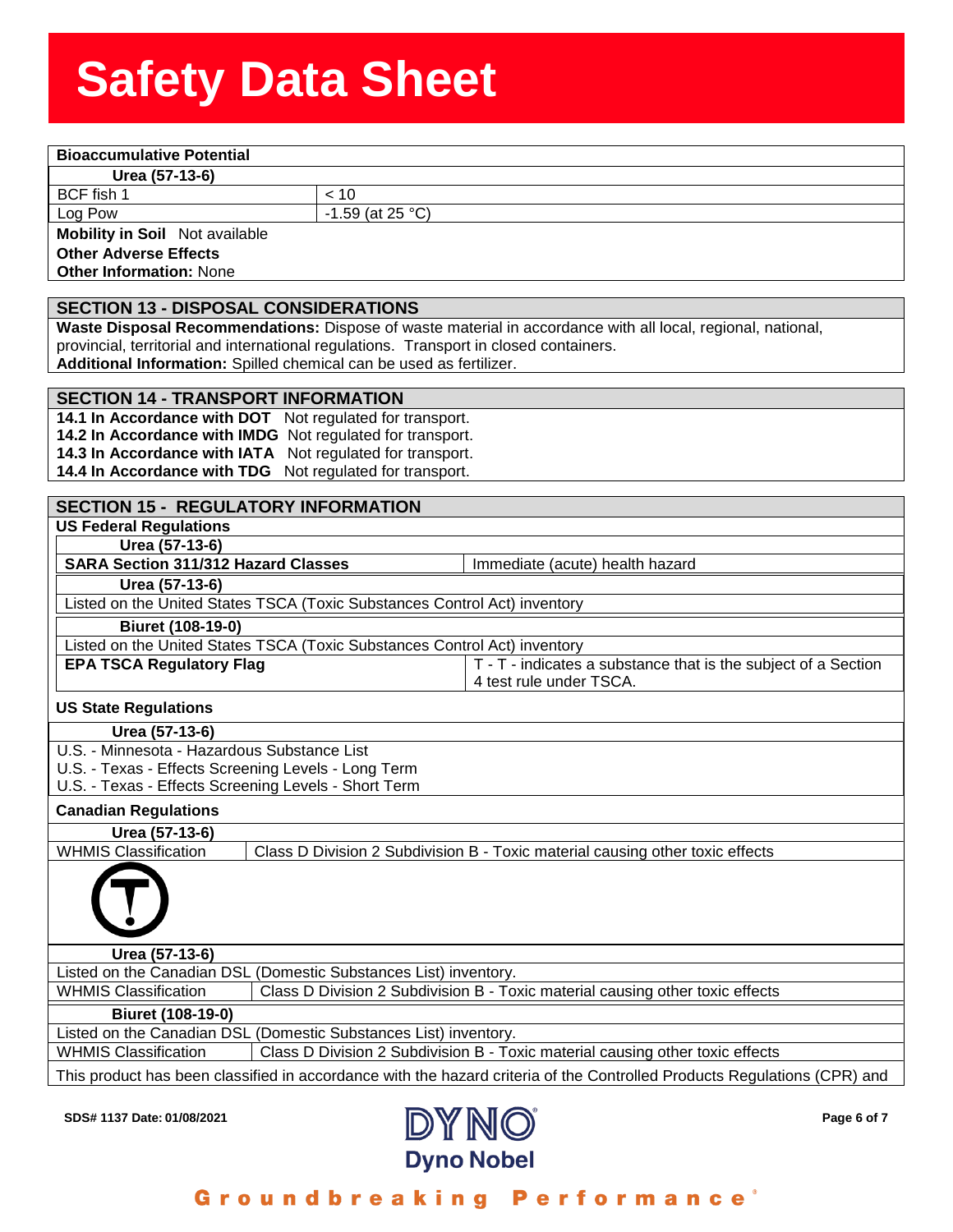## **Solution Stephen Stephen Stephen Stephen Stephen Stephen Stephen Stephen Stephen Stephen Stephen Stephen Stephen<br>Product Stephen Stephen Stephen Stephen Stephen Stephen Stephen Stephen Stephen Stephen Stephen Stephen Step**

**<u>Eest (57-13-6)</u><br>Feedball 1<br>The Pow** 

BCF fish 1  $\vert$  < 10

Log Pow  $\vert$  -1.59 (at 25 °C)

**Mobility in Soil** Not available **Other Adverse Effects**

**Other Information:** None

#### **SECTION 13 - DISPOSAL CONSIDERATIONS**

**Waste Disposal Recommendations:** Dispose of waste material in accordance with all local, regional, national, provincial, territorial and international regulations. Transport in closed containers.

**Additional Information:** Spilled chemical can be used as fertilizer.

#### **SECTION 14 - TRANSPORT INFORMATION**

**14.1 In Accordance with DOT** Not regulated for transport. **14.2 In Accordance with IMDG** Not regulated for transport. **14.3 In Accordance with IATA** Not regulated for transport. **14.4 In Accordance with TDG** Not regulated for transport.

#### **SECTION 15 - REGULATORY INFORMATION**

**US Federal Regulations**

**Urea (57-13-6) SARA Section 311/312 Hazard Classes** Immediate (acute) health hazard

#### **Urea (57-13-6)**

Listed on the United States TSCA (Toxic Substances Control Act) inventory

**Biuret (108-19-0)**

| Listed on the United States TSCA (Toxic Substances Control Act) inventory |                                                                |  |  |  |
|---------------------------------------------------------------------------|----------------------------------------------------------------|--|--|--|
| <b>EPA TSCA Regulatory Flag</b>                                           | T - T - indicates a substance that is the subject of a Section |  |  |  |
|                                                                           | 4 test rule under TSCA.                                        |  |  |  |

#### **US State Regulations**

- **Urea (57-13-6)**
- U.S. Minnesota Hazardous Substance List
- U.S. Texas Effects Screening Levels Long Term
- U.S. Texas Effects Screening Levels Short Term

#### **Canadian Regulations**

| <b>Canadian Regulations</b> |                                                                               |
|-----------------------------|-------------------------------------------------------------------------------|
| Urea (57-13-6)              |                                                                               |
| <b>WHMIS Classification</b> | Class D Division 2 Subdivision B - Toxic material causing other toxic effects |
|                             |                                                                               |
| Urea (57-13-6)              |                                                                               |
|                             | Listed on the Canadian DSL (Domestic Substances List) inventory.              |
| <b>WHMIS Classification</b> | Class D Division 2 Subdivision B - Toxic material causing other toxic effects |
| <b>Biuret (108-19-0)</b>    |                                                                               |

Listed on the Canadian DSL (Domestic Substances List) inventory. WHMIS Classification **Class D Division 2 Subdivision B - Toxic material causing other toxic effects** 

This product has been classified in accordance with the hazard criteria of the Controlled Products Regulations (CPR) and

**SDS# 1137** Date: 01/08/2021 Page 6 of 7



Groundbreaking Performance'